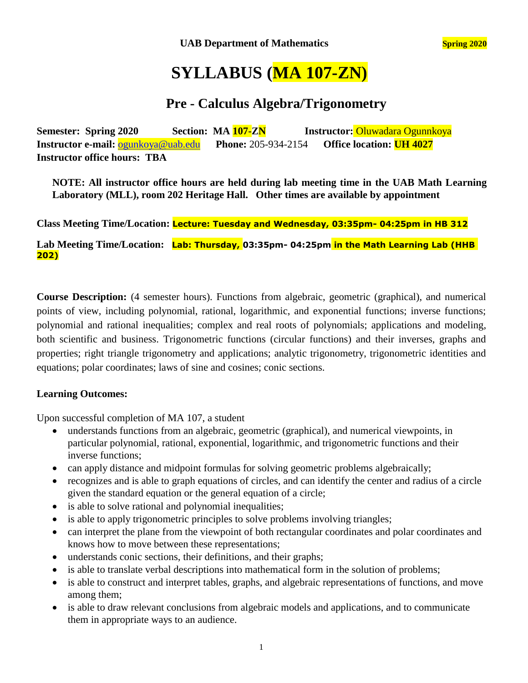# **SYLLABUS (MA 107-ZN)**

### **Pre - Calculus Algebra/Trigonometry**

**Semester: Spring 2020 Section: MA 107-ZN Instructor:** Oluwadara Ogunnkoya **Instructor e-mail:** [ogunkoya@uab.edu](mailto:ogunkoya@uab.edu) **Phone:** 205-934-2154 **Office location: UH 4027 Instructor office hours: TBA**

**NOTE: All instructor office hours are held during lab meeting time in the UAB Math Learning Laboratory (MLL), room 202 Heritage Hall. Other times are available by appointment**

**Class Meeting Time/Location: Lecture: Tuesday and Wednesday, 03:35pm- 04:25pm in HB 312**

**Lab Meeting Time/Location: Lab: Thursday, 03:35pm- 04:25pm in the Math Learning Lab (HHB 202)**

**Course Description:** (4 semester hours). Functions from algebraic, geometric (graphical), and numerical points of view, including polynomial, rational, logarithmic, and exponential functions; inverse functions; polynomial and rational inequalities; complex and real roots of polynomials; applications and modeling, both scientific and business. Trigonometric functions (circular functions) and their inverses, graphs and properties; right triangle trigonometry and applications; analytic trigonometry, trigonometric identities and equations; polar coordinates; laws of sine and cosines; conic sections.

#### **Learning Outcomes:**

Upon successful completion of MA 107, a student

- understands functions from an algebraic, geometric (graphical), and numerical viewpoints, in particular polynomial, rational, exponential, logarithmic, and trigonometric functions and their inverse functions;
- can apply distance and midpoint formulas for solving geometric problems algebraically;
- recognizes and is able to graph equations of circles, and can identify the center and radius of a circle given the standard equation or the general equation of a circle;
- is able to solve rational and polynomial inequalities;
- is able to apply trigonometric principles to solve problems involving triangles;
- can interpret the plane from the viewpoint of both rectangular coordinates and polar coordinates and knows how to move between these representations;
- understands conic sections, their definitions, and their graphs;
- is able to translate verbal descriptions into mathematical form in the solution of problems;
- is able to construct and interpret tables, graphs, and algebraic representations of functions, and move among them;
- is able to draw relevant conclusions from algebraic models and applications, and to communicate them in appropriate ways to an audience.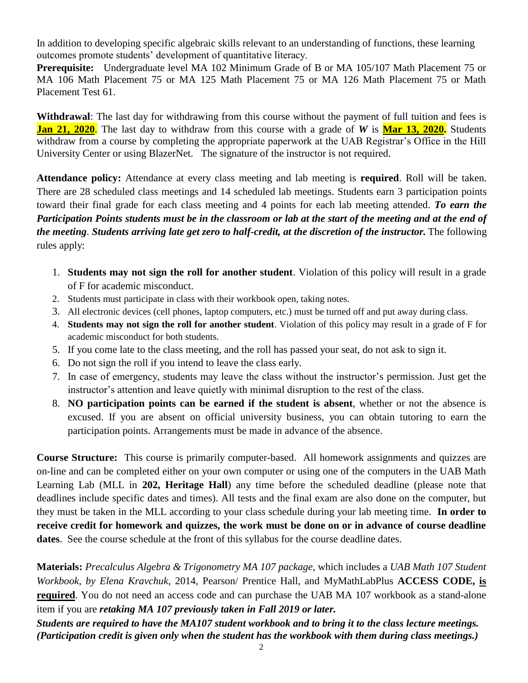In addition to developing specific algebraic skills relevant to an understanding of functions, these learning outcomes promote students' development of quantitative literacy.

**Prerequisite:** Undergraduate level MA 102 Minimum Grade of B or MA 105/107 Math Placement 75 or MA 106 Math Placement 75 or MA 125 Math Placement 75 or MA 126 Math Placement 75 or Math Placement Test 61.

**Withdrawal**: The last day for withdrawing from this course without the payment of full tuition and fees is **Jan 21, 2020**. The last day to withdraw from this course with a grade of *W* is **Mar 13, 2020.** Students withdraw from a course by completing the appropriate paperwork at the UAB Registrar's Office in the Hill University Center or using BlazerNet. The signature of the instructor is not required.

**Attendance policy:** Attendance at every class meeting and lab meeting is **required**. Roll will be taken. There are 28 scheduled class meetings and 14 scheduled lab meetings. Students earn 3 participation points toward their final grade for each class meeting and 4 points for each lab meeting attended. *To earn the Participation Points students must be in the classroom or lab at the start of the meeting and at the end of the meeting*. *Students arriving late get zero to half-credit, at the discretion of the instructor.* The following rules apply:

- 1. **Students may not sign the roll for another student**. Violation of this policy will result in a grade of F for academic misconduct.
- 2. Students must participate in class with their workbook open, taking notes.
- 3. All electronic devices (cell phones, laptop computers, etc.) must be turned off and put away during class.
- 4. **Students may not sign the roll for another student**. Violation of this policy may result in a grade of F for academic misconduct for both students.
- 5. If you come late to the class meeting, and the roll has passed your seat, do not ask to sign it.
- 6. Do not sign the roll if you intend to leave the class early.
- 7. In case of emergency, students may leave the class without the instructor's permission. Just get the instructor's attention and leave quietly with minimal disruption to the rest of the class.
- 8. **NO participation points can be earned if the student is absent**, whether or not the absence is excused. If you are absent on official university business, you can obtain tutoring to earn the participation points. Arrangements must be made in advance of the absence.

**Course Structure:** This course is primarily computer-based. All homework assignments and quizzes are on-line and can be completed either on your own computer or using one of the computers in the UAB Math Learning Lab (MLL in **202, Heritage Hall**) any time before the scheduled deadline (please note that deadlines include specific dates and times). All tests and the final exam are also done on the computer, but they must be taken in the MLL according to your class schedule during your lab meeting time. **In order to receive credit for homework and quizzes, the work must be done on or in advance of course deadline dates**. See the course schedule at the front of this syllabus for the course deadline dates.

**Materials:** *Precalculus Algebra & Trigonometry MA 107 package,* which includes a *UAB Math 107 Student Workbook, by Elena Kravchuk*, 2014, Pearson/ Prentice Hall, and MyMathLabPlus **ACCESS CODE, is required**. You do not need an access code and can purchase the UAB MA 107 workbook as a stand-alone item if you are *retaking MA 107 previously taken in Fall 2019 or later.* 

*Students are required to have the MA107 student workbook and to bring it to the class lecture meetings. (Participation credit is given only when the student has the workbook with them during class meetings.)*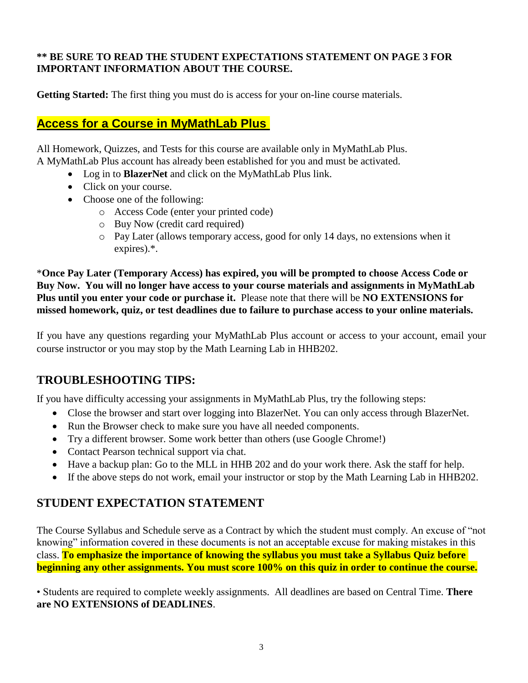#### **\*\* BE SURE TO READ THE STUDENT EXPECTATIONS STATEMENT ON PAGE 3 FOR IMPORTANT INFORMATION ABOUT THE COURSE.**

**Getting Started:** The first thing you must do is access for your on-line course materials.

### **Access for a Course in MyMathLab Plus**

All Homework, Quizzes, and Tests for this course are available only in MyMathLab Plus. A MyMathLab Plus account has already been established for you and must be activated.

- Log in to **BlazerNet** and click on the MyMathLab Plus link.
- Click on your course.
- Choose one of the following:
	- o Access Code (enter your printed code)
	- o Buy Now (credit card required)
	- o Pay Later (allows temporary access, good for only 14 days, no extensions when it expires).\*.

\***Once Pay Later (Temporary Access) has expired, you will be prompted to choose Access Code or Buy Now. You will no longer have access to your course materials and assignments in MyMathLab Plus until you enter your code or purchase it.** Please note that there will be **NO EXTENSIONS for missed homework, quiz, or test deadlines due to failure to purchase access to your online materials.**

If you have any questions regarding your MyMathLab Plus account or access to your account, email your course instructor or you may stop by the Math Learning Lab in HHB202.

### **TROUBLESHOOTING TIPS:**

If you have difficulty accessing your assignments in MyMathLab Plus, try the following steps:

- Close the browser and start over logging into BlazerNet. You can only access through BlazerNet.
- Run the Browser check to make sure you have all needed components.
- Try a different browser. Some work better than others (use Google Chrome!)
- Contact Pearson technical support via chat.
- Have a backup plan: Go to the MLL in HHB 202 and do your work there. Ask the staff for help.
- If the above steps do not work, email your instructor or stop by the Math Learning Lab in HHB202.

### **STUDENT EXPECTATION STATEMENT**

The Course Syllabus and Schedule serve as a Contract by which the student must comply. An excuse of "not knowing" information covered in these documents is not an acceptable excuse for making mistakes in this class. **To emphasize the importance of knowing the syllabus you must take a Syllabus Quiz before beginning any other assignments. You must score 100% on this quiz in order to continue the course.**

• Students are required to complete weekly assignments. All deadlines are based on Central Time. **There are NO EXTENSIONS of DEADLINES**.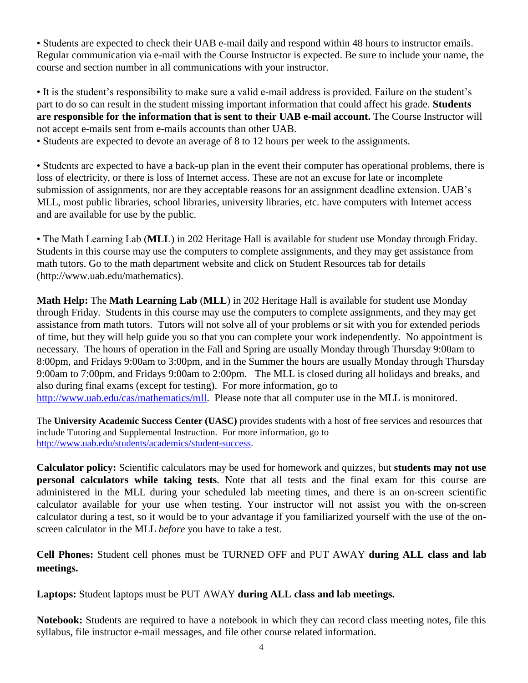• Students are expected to check their UAB e-mail daily and respond within 48 hours to instructor emails. Regular communication via e-mail with the Course Instructor is expected. Be sure to include your name, the course and section number in all communications with your instructor.

• It is the student's responsibility to make sure a valid e-mail address is provided. Failure on the student's part to do so can result in the student missing important information that could affect his grade. **Students are responsible for the information that is sent to their UAB e-mail account.** The Course Instructor will not accept e-mails sent from e-mails accounts than other UAB.

• Students are expected to devote an average of 8 to 12 hours per week to the assignments.

• Students are expected to have a back-up plan in the event their computer has operational problems, there is loss of electricity, or there is loss of Internet access. These are not an excuse for late or incomplete submission of assignments, nor are they acceptable reasons for an assignment deadline extension. UAB's MLL, most public libraries, school libraries, university libraries, etc. have computers with Internet access and are available for use by the public.

• The Math Learning Lab (**MLL**) in 202 Heritage Hall is available for student use Monday through Friday. Students in this course may use the computers to complete assignments, and they may get assistance from math tutors. Go to the math department website and click on Student Resources tab for details (http://www.uab.edu/mathematics).

**Math Help:** The **Math Learning Lab** (**MLL**) in 202 Heritage Hall is available for student use Monday through Friday. Students in this course may use the computers to complete assignments, and they may get assistance from math tutors. Tutors will not solve all of your problems or sit with you for extended periods of time, but they will help guide you so that you can complete your work independently. No appointment is necessary. The hours of operation in the Fall and Spring are usually Monday through Thursday 9:00am to 8:00pm, and Fridays 9:00am to 3:00pm, and in the Summer the hours are usually Monday through Thursday 9:00am to 7:00pm, and Fridays 9:00am to 2:00pm. The MLL is closed during all holidays and breaks, and also during final exams (except for testing). For more information, go to [http://www.uab.edu/cas/mathematics/mll.](http://www.uab.edu/cas/mathematics/mll) Please note that all computer use in the MLL is monitored.

The **University Academic Success Center (UASC)** provides students with a host of free services and resources that include Tutoring and Supplemental Instruction. For more information, go to [http://www.uab.edu/students/academics/student-success.](http://www.uab.edu/students/academics/student-success)

**Calculator policy:** Scientific calculators may be used for homework and quizzes, but **students may not use personal calculators while taking tests**. Note that all tests and the final exam for this course are administered in the MLL during your scheduled lab meeting times, and there is an on-screen scientific calculator available for your use when testing. Your instructor will not assist you with the on-screen calculator during a test, so it would be to your advantage if you familiarized yourself with the use of the onscreen calculator in the MLL *before* you have to take a test.

**Cell Phones:** Student cell phones must be TURNED OFF and PUT AWAY **during ALL class and lab meetings.**

**Laptops:** Student laptops must be PUT AWAY **during ALL class and lab meetings.**

**Notebook:** Students are required to have a notebook in which they can record class meeting notes, file this syllabus, file instructor e-mail messages, and file other course related information.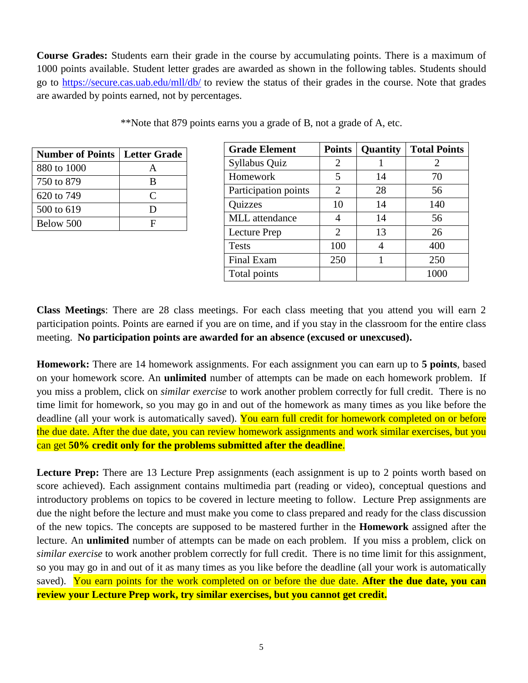**Course Grades:** Students earn their grade in the course by accumulating points. There is a maximum of 1000 points available. Student letter grades are awarded as shown in the following tables. Students should go to<https://secure.cas.uab.edu/mll/db/> to review the status of their grades in the course. Note that grades are awarded by points earned, not by percentages.

| <b>Number of Points</b> | <b>Letter Grade</b> |
|-------------------------|---------------------|
| 880 to 1000             |                     |
| 750 to 879              | R                   |
| 620 to 749              | C                   |
| 500 to 619              | ו ו                 |
| Below 500               | H                   |

\*\*Note that 879 points earns you a grade of B, not a grade of A, etc.

| <b>Grade Element</b>  | <b>Points</b>         | Quantity | <b>Total Points</b> |
|-----------------------|-----------------------|----------|---------------------|
| Syllabus Quiz         | 2                     |          | 2                   |
| Homework              | 5                     | 14       | 70                  |
| Participation points  | 2                     | 28       | 56                  |
| <b>Quizzes</b>        | 10                    | 14       | 140                 |
| <b>MLL</b> attendance |                       | 14       | 56                  |
| Lecture Prep          | $\mathcal{D}_{\cdot}$ | 13       | 26                  |
| <b>Tests</b>          | 100                   |          | 400                 |
| Final Exam            | 250                   |          | 250                 |
| Total points          |                       |          |                     |

**Class Meetings**: There are 28 class meetings. For each class meeting that you attend you will earn 2 participation points. Points are earned if you are on time, and if you stay in the classroom for the entire class meeting. **No participation points are awarded for an absence (excused or unexcused).** 

**Homework:** There are 14 homework assignments. For each assignment you can earn up to **5 points**, based on your homework score. An **unlimited** number of attempts can be made on each homework problem. If you miss a problem, click on *similar exercise* to work another problem correctly for full credit. There is no time limit for homework, so you may go in and out of the homework as many times as you like before the deadline (all your work is automatically saved). You earn full credit for homework completed on or before the due date. After the due date, you can review homework assignments and work similar exercises, but you can get **50% credit only for the problems submitted after the deadline**.

Lecture Prep: There are 13 Lecture Prep assignments (each assignment is up to 2 points worth based on score achieved). Each assignment contains multimedia part (reading or video), conceptual questions and introductory problems on topics to be covered in lecture meeting to follow. Lecture Prep assignments are due the night before the lecture and must make you come to class prepared and ready for the class discussion of the new topics. The concepts are supposed to be mastered further in the **Homework** assigned after the lecture. An **unlimited** number of attempts can be made on each problem. If you miss a problem, click on *similar exercise* to work another problem correctly for full credit. There is no time limit for this assignment, so you may go in and out of it as many times as you like before the deadline (all your work is automatically saved). You earn points for the work completed on or before the due date. **After the due date, you can review your Lecture Prep work, try similar exercises, but you cannot get credit.**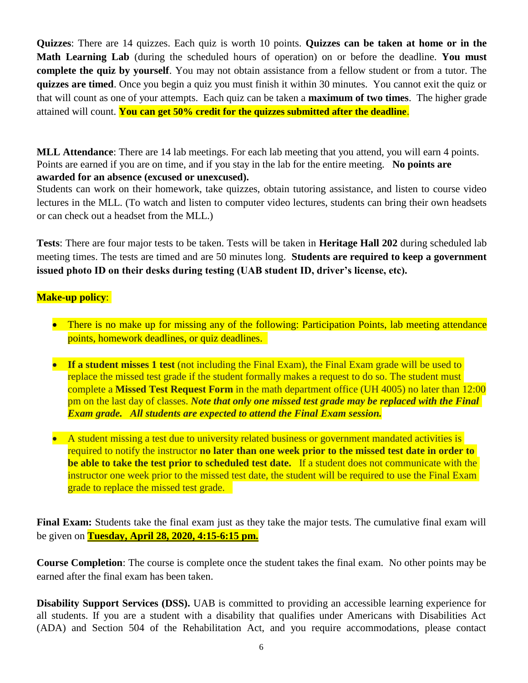**Quizzes**: There are 14 quizzes. Each quiz is worth 10 points. **Quizzes can be taken at home or in the Math Learning Lab** (during the scheduled hours of operation) on or before the deadline. **You must complete the quiz by yourself**. You may not obtain assistance from a fellow student or from a tutor. The **quizzes are timed**. Once you begin a quiz you must finish it within 30 minutes. You cannot exit the quiz or that will count as one of your attempts. Each quiz can be taken a **maximum of two times**. The higher grade attained will count. **You can get 50% credit for the quizzes submitted after the deadline**.

**MLL Attendance**: There are 14 lab meetings. For each lab meeting that you attend, you will earn 4 points. Points are earned if you are on time, and if you stay in the lab for the entire meeting. **No points are awarded for an absence (excused or unexcused).**

Students can work on their homework, take quizzes, obtain tutoring assistance, and listen to course video lectures in the MLL. (To watch and listen to computer video lectures, students can bring their own headsets or can check out a headset from the MLL.)

**Tests**: There are four major tests to be taken. Tests will be taken in **Heritage Hall 202** during scheduled lab meeting times. The tests are timed and are 50 minutes long. **Students are required to keep a government issued photo ID on their desks during testing (UAB student ID, driver's license, etc).**

#### **Make-up policy**:

- There is no make up for missing any of the following: Participation Points, lab meeting attendance points, homework deadlines, or quiz deadlines.
- **If a student misses 1 test** (not including the Final Exam), the Final Exam grade will be used to replace the missed test grade if the student formally makes a request to do so. The student must complete a **Missed Test Request Form** in the math department office (UH 4005) no later than 12:00 pm on the last day of classes. *Note that only one missed test grade may be replaced with the Final Exam grade. All students are expected to attend the Final Exam session.*
- A student missing a test due to university related business or government mandated activities is required to notify the instructor **no later than one week prior to the missed test date in order to be able to take the test prior to scheduled test date.** If a student does not communicate with the instructor one week prior to the missed test date, the student will be required to use the Final Exam grade to replace the missed test grade.

**Final Exam:** Students take the final exam just as they take the major tests. The cumulative final exam will be given on **Tuesday, April 28, 2020, 4:15-6:15 pm.**

**Course Completion**: The course is complete once the student takes the final exam. No other points may be earned after the final exam has been taken.

**Disability Support Services (DSS).** UAB is committed to providing an accessible learning experience for all students. If you are a student with a disability that qualifies under Americans with Disabilities Act (ADA) and Section 504 of the Rehabilitation Act, and you require accommodations, please contact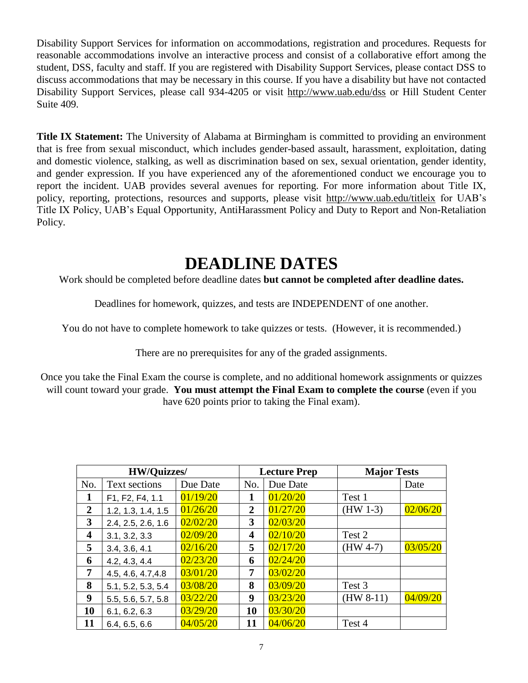Disability Support Services for information on accommodations, registration and procedures. Requests for reasonable accommodations involve an interactive process and consist of a collaborative effort among the student, DSS, faculty and staff. If you are registered with Disability Support Services, please contact DSS to discuss accommodations that may be necessary in this course. If you have a disability but have not contacted Disability Support Services, please call 934-4205 or visit http://www.uab.edu/dss or Hill Student Center Suite 409.

**Title IX Statement:** The University of Alabama at Birmingham is committed to providing an environment that is free from sexual misconduct, which includes gender-based assault, harassment, exploitation, dating and domestic violence, stalking, as well as discrimination based on sex, sexual orientation, gender identity, and gender expression. If you have experienced any of the aforementioned conduct we encourage you to report the incident. UAB provides several avenues for reporting. For more information about Title IX, policy, reporting, protections, resources and supports, please visit http://www.uab.edu/titleix for UAB's Title IX Policy, UAB's Equal Opportunity, AntiHarassment Policy and Duty to Report and Non-Retaliation Policy.

## **DEADLINE DATES**

Work should be completed before deadline dates **but cannot be completed after deadline dates.**

Deadlines for homework, quizzes, and tests are INDEPENDENT of one another.

You do not have to complete homework to take quizzes or tests. (However, it is recommended.)

There are no prerequisites for any of the graded assignments.

Once you take the Final Exam the course is complete, and no additional homework assignments or quizzes will count toward your grade. **You must attempt the Final Exam to complete the course** (even if you have 620 points prior to taking the Final exam).

| <b>HW/Quizzes/</b>      |                      | <b>Lecture Prep</b> |                | <b>Major Tests</b> |             |          |
|-------------------------|----------------------|---------------------|----------------|--------------------|-------------|----------|
| No.                     | <b>Text sections</b> | Due Date            | No.            | Due Date           |             | Date     |
| $\mathbf 1$             | F1, F2, F4, 1.1      | 01/19/20            | 1              | 01/20/20           | Test 1      |          |
| $\overline{2}$          | 1.2, 1.3, 1.4, 1.5   | 01/26/20            | $\overline{2}$ | 01/27/20           | $(HW 1-3)$  | 02/06/20 |
| 3                       | 2.4, 2.5, 2.6, 1.6   | 02/02/20            | 3              | 02/03/20           |             |          |
| $\overline{\mathbf{4}}$ | 3.1, 3.2, 3.3        | 02/09/20            | 4              | 02/10/20           | Test 2      |          |
| 5                       | 3.4, 3.6, 4.1        | 02/16/20            | 5              | 02/17/20           | $(HW 4-7)$  | 03/05/20 |
| 6                       | 4.2, 4.3, 4.4        | 02/23/20            | 6              | 02/24/20           |             |          |
| 7                       | 4.5, 4.6, 4.7, 4.8   | 03/01/20            | 7              | 03/02/20           |             |          |
| 8                       | 5.1, 5.2, 5.3, 5.4   | 03/08/20            | 8              | 03/09/20           | Test 3      |          |
| $\boldsymbol{9}$        | 5.5, 5.6, 5.7, 5.8   | 03/22/20            | 9              | 03/23/20           | $(HW 8-11)$ | 04/09/20 |
| 10                      | 6.1, 6.2, 6.3        | 03/29/20            | 10             | 03/30/20           |             |          |
| 11                      | 6.4, 6.5, 6.6        | 04/05/20            | 11             | 04/06/20           | Test 4      |          |